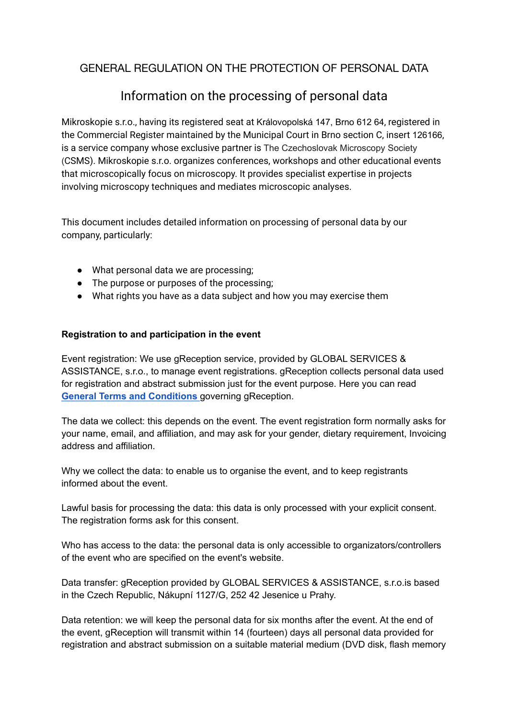# GENERAL REGULATION ON THE PROTECTION OF PERSONAL DATA

# Information on the processing of personal data

Mikroskopie s.r.o., having its registered seat at Královopolská 147, Brno 612 64, registered in the Commercial Register maintained by the Municipal Court in Brno section C, insert 126166, is a service company whose exclusive partner is The Czechoslovak Microscopy Society (CSMS). Mikroskopie s.r.o. organizes conferences, workshops and other educational events that microscopically focus on microscopy. It provides specialist expertise in projects involving microscopy techniques and mediates microscopic analyses.

This document includes detailed information on processing of personal data by our company, particularly:

- What personal data we are processing;
- The purpose or purposes of the processing;
- What rights you have as a data subject and how you may exercise them

## **Registration to and participation in the event**

Event registration: We use gReception service, provided by GLOBAL SERVICES & ASSISTANCE, s.r.o., to manage event registrations. gReception collects personal data used for registration and abstract submission just for the event purpose. Here you can read **General Terms and [Conditions](https://discord.gg/K3vhAwBP)** governing gReception.

The data we collect: this depends on the event. The event registration form normally asks for your name, email, and affiliation, and may ask for your gender, dietary requirement, Invoicing address and affiliation.

Why we collect the data: to enable us to organise the event, and to keep registrants informed about the event.

Lawful basis for processing the data: this data is only processed with your explicit consent. The registration forms ask for this consent.

Who has access to the data: the personal data is only accessible to organizators/controllers of the event who are specified on the event's website.

Data transfer: gReception provided by GLOBAL SERVICES & ASSISTANCE, s.r.o.is based in the Czech Republic, Nákupní 1127/G, 252 42 Jesenice u Prahy.

Data retention: we will keep the personal data for six months after the event. At the end of the event, gReception will transmit within 14 (fourteen) days all personal data provided for registration and abstract submission on a suitable material medium (DVD disk, flash memory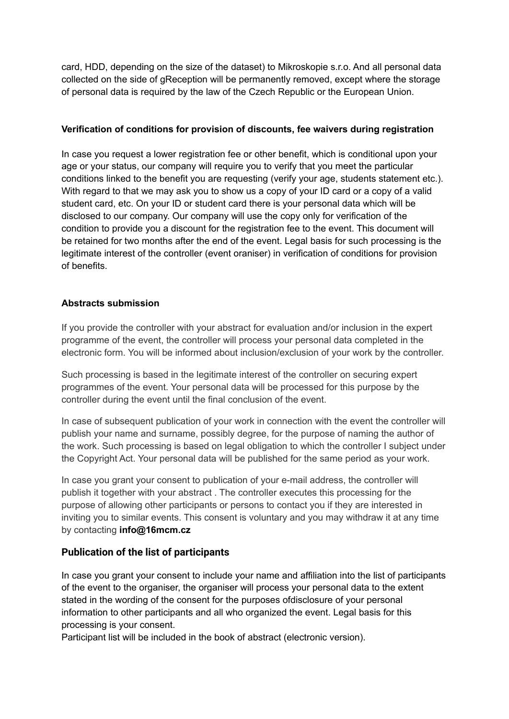card, HDD, depending on the size of the dataset) to Mikroskopie s.r.o. And all personal data collected on the side of gReception will be permanently removed, except where the storage of personal data is required by the law of the Czech Republic or the European Union.

## **Verification of conditions for provision of discounts, fee waivers during registration**

In case you request a lower registration fee or other benefit, which is conditional upon your age or your status, our company will require you to verify that you meet the particular conditions linked to the benefit you are requesting (verify your age, students statement etc.). With regard to that we may ask you to show us a copy of your ID card or a copy of a valid student card, etc. On your ID or student card there is your personal data which will be disclosed to our company. Our company will use the copy only for verification of the condition to provide you a discount for the registration fee to the event. This document will be retained for two months after the end of the event. Legal basis for such processing is the legitimate interest of the controller (event oraniser) in verification of conditions for provision of benefits.

#### **Abstracts submission**

If you provide the controller with your abstract for evaluation and/or inclusion in the expert programme of the event, the controller will process your personal data completed in the electronic form. You will be informed about inclusion/exclusion of your work by the controller.

Such processing is based in the legitimate interest of the controller on securing expert programmes of the event. Your personal data will be processed for this purpose by the controller during the event until the final conclusion of the event.

In case of subsequent publication of your work in connection with the event the controller will publish your name and surname, possibly degree, for the purpose of naming the author of the work. Such processing is based on legal obligation to which the controller I subject under the Copyright Act. Your personal data will be published for the same period as your work.

In case you grant your consent to publication of your e-mail address, the controller will publish it together with your abstract . The controller executes this processing for the purpose of allowing other participants or persons to contact you if they are interested in inviting you to similar events. This consent is voluntary and you may withdraw it at any time by contacting **info@16mcm.cz**

## **[Publication of the list of participants](https://guarant.cz/en/information-on-the-processing-of-personal-data/)**

In case you grant your consent to include your name and affiliation into the list of participants of the event to the organiser, the organiser will process your personal data to the extent stated in the wording of the consent for the purposes ofdisclosure of your personal information to other participants and all who organized the event. Legal basis for this processing is your consent.

Participant list will be included in the book of abstract (electronic version).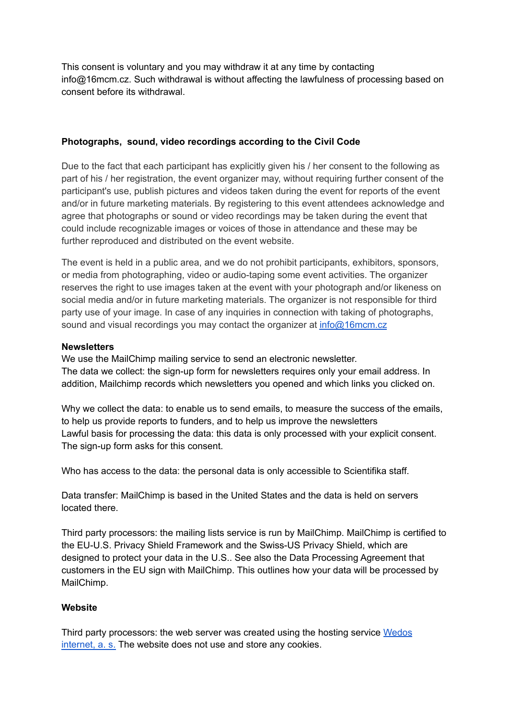This consent is voluntary and you may withdraw it at any time by contacting info@16mcm.cz. Such withdrawal is without affecting the lawfulness of processing based on consent before its withdrawal.

#### **Photographs, sound, video recordings according to the Civil Code**

Due to the fact that each participant has explicitly given his / her consent to the following as part of his / her registration, the event organizer may, without requiring further consent of the participant's use, publish pictures and videos taken during the event for reports of the event and/or in future marketing materials. By registering to this event attendees acknowledge and agree that photographs or sound or video recordings may be taken during the event that could include recognizable images or voices of those in attendance and these may be further reproduced and distributed on the event website.

The event is held in a public area, and we do not prohibit participants, exhibitors, sponsors, or media from photographing, video or audio-taping some event activities. The organizer reserves the right to use images taken at the event with your photograph and/or likeness on social media and/or in future marketing materials. The organizer is not responsible for third party use of your image. In case of any inquiries in connection with taking of photographs, sound and visual recordings you may contact the organizer at [info@16mcm.cz](mailto:info@16mcm.cz)

#### **Newsletters**

We use the MailChimp mailing service to send an electronic newsletter. The data we collect: the sign-up form for newsletters requires only your email address. In addition, Mailchimp records which newsletters you opened and which links you clicked on.

Why we collect the data: to enable us to send emails, to measure the success of the emails, to help us provide reports to funders, and to help us improve the newsletters Lawful basis for processing the data: this data is only processed with your explicit consent. The sign-up form asks for this consent.

Who has access to the data: the personal data is only accessible to Scientifika staff.

Data transfer: MailChimp is based in the United States and the data is held on servers located there.

Third party processors: the mailing lists service is run by MailChimp. MailChimp is certified to the EU-U.S. Privacy Shield Framework and the Swiss-US Privacy Shield, which are designed to protect your data in the U.S.. See also the Data Processing Agreement that customers in the EU sign with MailChimp. This outlines how your data will be processed by MailChimp.

#### **Website**

Third party processors: the web server was created using the hosting service [Wedos](https://www.wedos.cz/wp-content/uploads/2021/03/Politika_bezpecnosti_informaci.pdf) [internet,](https://www.wedos.cz/wp-content/uploads/2021/03/Politika_bezpecnosti_informaci.pdf) a. s. The website does not use and store any cookies.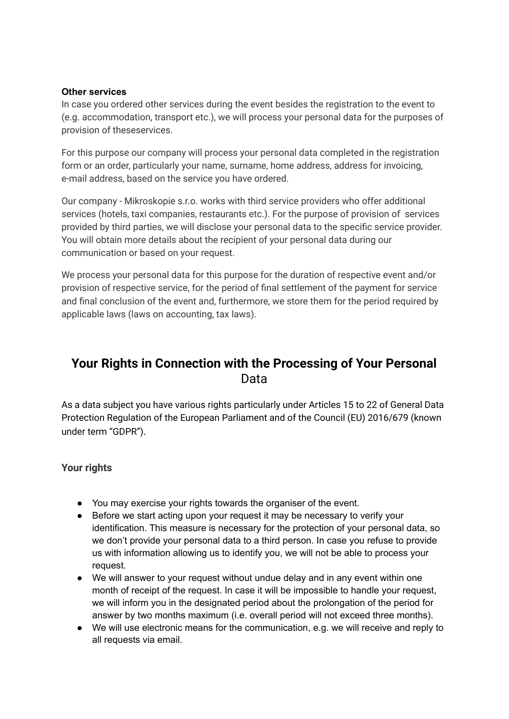#### **Other services**

In case you ordered other services during the event besides the registration to the event to (e.g. accommodation, transport etc.), we will process your personal data for the purposes of provision of theseservices.

For this purpose our company will process your personal data completed in the registration form or an order, particularly your name, surname, home address, address for invoicing, e-mail address, based on the service you have ordered.

Our company - Mikroskopie s.r.o. works with third service providers who offer additional services (hotels, taxi companies, restaurants etc.). For the purpose of provision of services provided by third parties, we will disclose your personal data to the specific service provider. You will obtain more details about the recipient of your personal data during our communication or based on your request.

We process your personal data for this purpose for the duration of respective event and/or provision of respective service, for the period of final settlement of the payment for service and final conclusion of the event and, furthermore, we store them for the period required by applicable laws (laws on accounting, tax laws).

# **Your Rights in Connection with the Processing of Your Personal** Data

As a data subject you have various rights particularly under Articles 15 to 22 of General Data Protection Regulation of the European Parliament and of the Council (EU) 2016/679 (known under term "GDPR").

## **Your rights**

- You may exercise your rights towards the organiser of the event.
- Before we start acting upon your request it may be necessary to verify your identification. This measure is necessary for the protection of your personal data, so we don't provide your personal data to a third person. In case you refuse to provide us with information allowing us to identify you, we will not be able to process your request.
- We will answer to your request without undue delay and in any event within one month of receipt of the request. In case it will be impossible to handle your request, we will inform you in the designated period about the prolongation of the period for answer by two months maximum (i.e. overall period will not exceed three months).
- We will use electronic means for the communication, e.g. we will receive and reply to all requests via email.